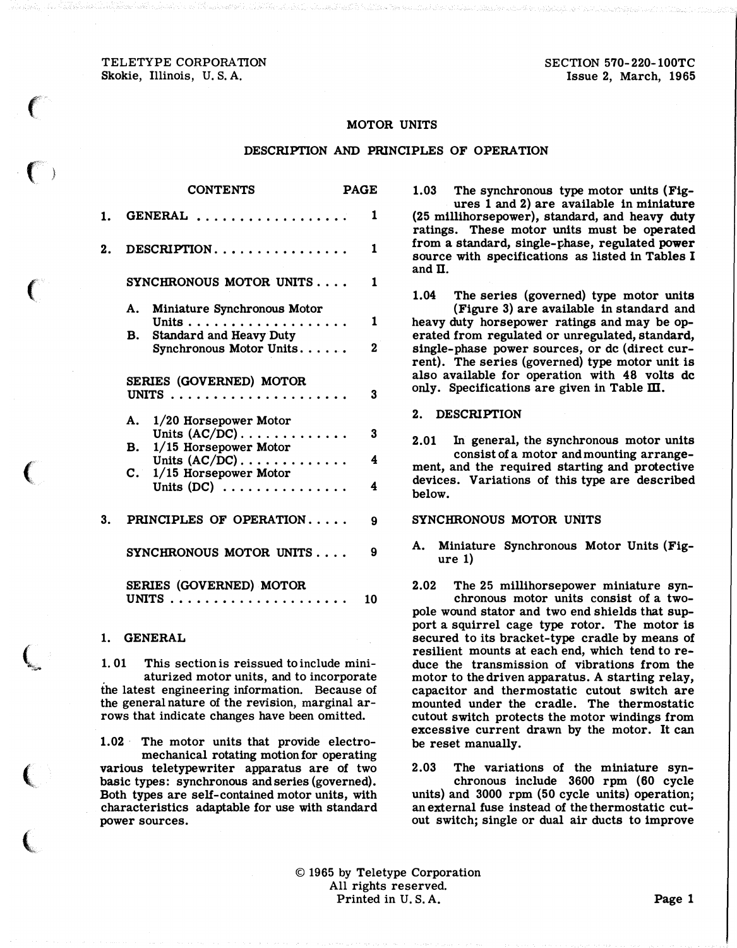## TELETYPE CORPORATION Skokie, Illinois, U.S. A.

 $\epsilon$ 

 $\overline{\mathbb{C}}$  )

 $\big($ 

 $\big($ 

 $\zeta$ 

 $\left($ 

 $\overline{\mathbb{C}}$ 

SECTION 570-220-100TC Issue 2, March, 1965

### MOTOR UNITS

#### DESCRIPTION AND PRINCIPLES OF OPERATION

|    | <b>CONTENTS</b>                                                                                                 | PAGE                |
|----|-----------------------------------------------------------------------------------------------------------------|---------------------|
| 1. | GENERAL                                                                                                         | 1                   |
| 2. | $DESCRIPTION \ldots \ldots \ldots \ldots \ldots$                                                                | 1                   |
|    | SYNCHRONOUS MOTOR UNITS                                                                                         | 1                   |
|    | A. Miniature Synchronous Motor<br>Units<br>.<br><b>Standard and Heavy Duty</b><br>В.<br>Synchronous Motor Units | 1<br>$\overline{2}$ |
|    | <b>SERIES (GOVERNED) MOTOR</b>                                                                                  | 3                   |
|    | A. 1/20 Horsepower Motor<br>Units $(AC/DC)$<br>$1/15$ Horsepower Motor<br><b>B.</b>                             | 3                   |
|    | Units $(AC/DC)$<br>$\mathbf{C}$ .<br>$1/15$ Horsepower Motor                                                    | 4                   |
| 3. | Units $(DC)$<br>PRINCIPLES OF OPERATION                                                                         | 4                   |
|    |                                                                                                                 | 9                   |
|    | SYNCHRONOUS MOTOR UNITS<br><b>SERIES (GOVERNED) MOTOR</b>                                                       | 9                   |
|    |                                                                                                                 | 10                  |

## 1. GENERAL

1. 01 This section is reissued to include miniaturized motor units, and to incorporate the latest engineering information. Because of the general nature of the revision, marginal arrows that indicate changes have been omitted.

1.02 The motor units that provide electromechanical rotating motion for operating various teletypewriter apparatus are of two basic types: synchronous and series (governed). Both types are self-contained motor units, with characteristics adaptable for use with standard power sources.

1.03 The synchronous type motor units {Figures 1 and 2) are available in miniature { 25 millihorsepower), standard, and heavy duty ratings. These motor units must be operated from a standard, single-phase, regulated power source with specifications as listed in Tables I and  $\Pi$ .

1.04 The series (governed) type motor units {Figure 3) are available in standard and heavy duty horsepower ratings and may be operated from regulated or unregulated, standard, single-phase power sources, or de (direct current). The series (governed) type motor unit is also available for operation with 48 volts de only. Specifications are given in Table  $\mathbf m$ .

#### 2. DESCRIPTION

2.01 In general, the synchronous motor units consist of a motor and mounting arrangement, and the required starting and protective devices. Variations of this type are described below.

#### SYNCHRONOUS MOTOR UNITS

A. Miniature Synchronous Motor Units (Figure 1)

2.02 The 25 millihorsepower miniature synchronous motor units consist of a twopole wound stator and two end shields that support a squirrel cage type rotor. The motor is secured to its bracket-type cradle by means of resilient mounts at each end, which tend to reduce the transmission of vibrations from the motor to the driven apparatus. A starting relay, capacitor and thermostatic cutout switch are mounted under the cradle. The thermostatic cutout switch protects the motor windings from excessive current drawn by the motor. It can be reset manually.

2.03 The variations of the miniature synchronous include 3600 rpm (60 cycle units) and 3000 rpm (50 cycle units) operation; an external fuse instead of the thermostatic cutout switch; single or dual air ducts to improve

 $© 1965$  by Teletype Corporation All rights reserved. Printed in U.S.A. Page 1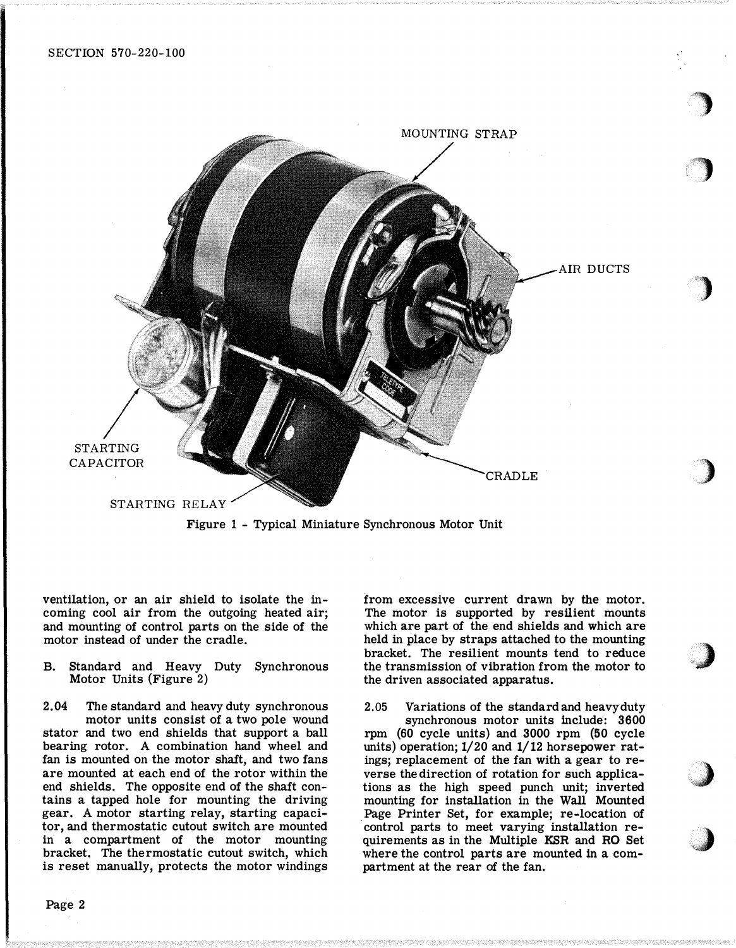

Figure <sup>1</sup>- Typical Miniature Synchronous Motor Unit

ventilation, or an air shield to isolate the incoming cool air from the outgoing heated air; and mounting of control parts on the side of the motor instead of under the cradle.

B. Standard and Heavy Duty Synchronous Motor Units (Figure 2)

2.04 The standard and heavy duty synchronous motor units consist of a two pole wound stator and two end shields that support a ball bearing rotor. A combination hand wheel and fan is mounted on the motor shaft, and two fans are mounted at each end of the rotor within the end shields. The opposite end of the shaft contains a tapped hole for mounting the driving gear. A motor starting relay, starting capacitor, and thermostatic cutout switch are mounted in a compartment of the motor mounting bracket. The thermostatic cutout switch, which is reset manually, protects the motor windings

from excessive current drawn by the motor. The motor is supported by resilient mounts which are part of the end shields and which are held in place by straps attached to the mounting bracket. The resilient mounts tend to reduce the transmission of vibration from the motor to the driven associated apparatus.

 $\rightarrow$ 

' '  $\overline{\phantom{a}}$ '

"}

)

,)

/}

'�

2.05 Variations of the standard and heavy duty synchronous motor units include: 3600 rpm (60 cycle units) and 3000 rpm (50 cycle units) operation;  $1/20$  and  $1/12$  horsepower ratings; replacement of the fan with a gear to reverse the direction of rotation for such applications as the high speed punch unit; inverted mounting for installation in the Wall Mounted Page Printer Set, for example; re-location of control parts to meet varying installation requirements as in the Multiple KSR and RO Set where the control parts are mounted in a compartment at the rear of the fan.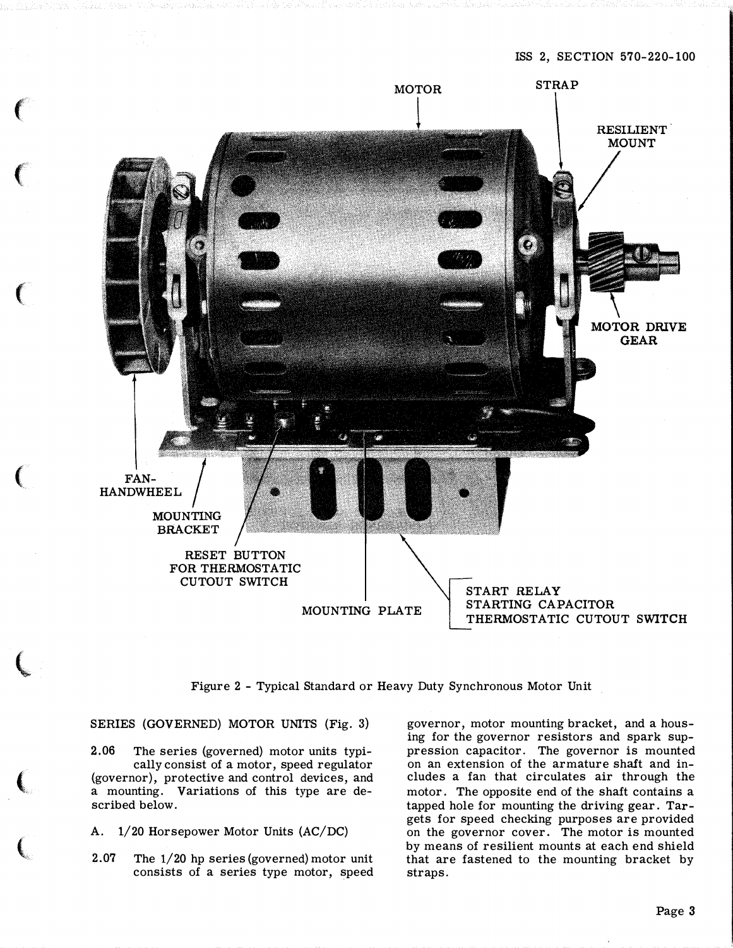

Figure 2 - Typical Standard or Heavy Duty Synchronous Motor Unit

SERIES (GOVERNED) MOTOR UNITS (Fig. 3)

 $\epsilon$ 

 $\big($ 

 $\big($ 

 $\big($ 

 $\overline{\mathbb{C}}$ 

 $\overline{(\ }$ 

 $\epsilon$  $\ell$  2.06 The series (governed) motor units typically consist of a motor, speed regulator (governor), protective and control devices, and a mounting. Variations of this type are described below.

A. 1/20 Horsepower Motor Units (AC/DC)

2.07 The 1/20 hp series (governed) motor unit consists of a series type motor, speed

governor, motor mounting bracket, and a housing for the governor resistors and spark suppression capacitor. The governor is mounted on an extension of the armature shaft and includes a fan that circulates air through the motor. The opposite end of the shaft contains a tapped hole for mounting the driving gear. Targets for speed checking purposes are provided on the governor cover. The motor is mounted by means of resilient mounts at each end shield that are fastened to the mounting bracket by straps.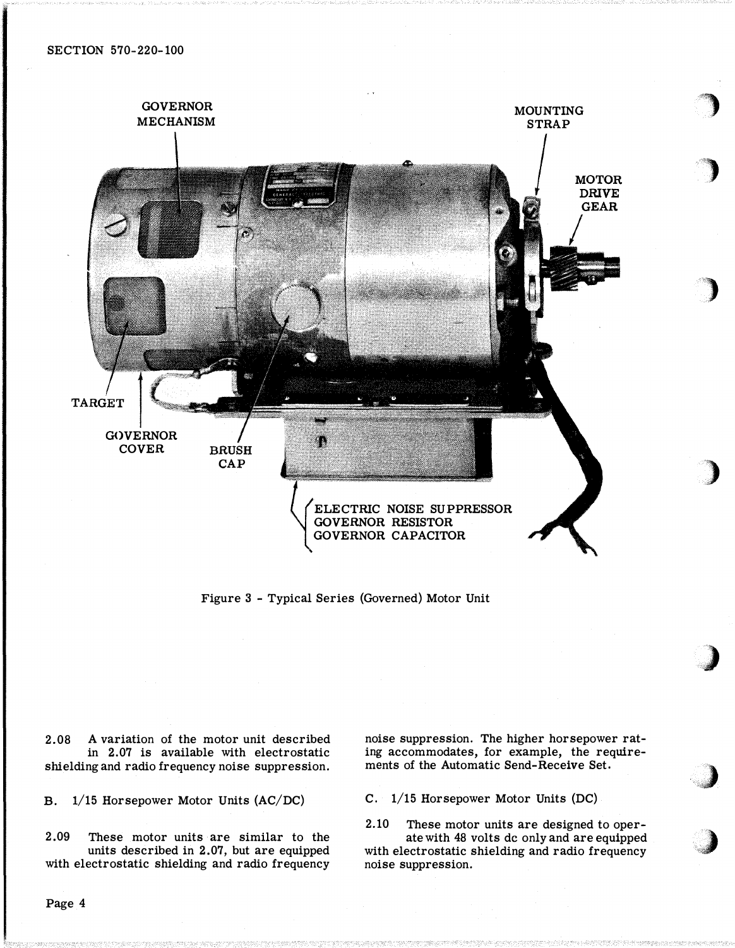

Figure 3 - Typical Series (Governed) Motor Unit

2.08 A variation of the motor unit described in 2.07 is available with electrostatic shielding and radio frequency noise suppression.

B. 1/15 Horsepower Motor Units (AC/DC)

2.09 These motor units are similar to the units described in 2.07, but are equipped with electrostatic shielding and radio frequency noise suppression. The higher horsepower rating accommodates, for example, the requirements of the Automatic Send-Receive Set.

'")

'l

)

)

)

..)

 $\lambda$ **Simple Street** 

C. 1/15 Horsepower Motor Units (DC)

2.10 These motor units are designed to operate with 48 volts de only and are equipped with electrostatic shielding and radio frequency noise suppression.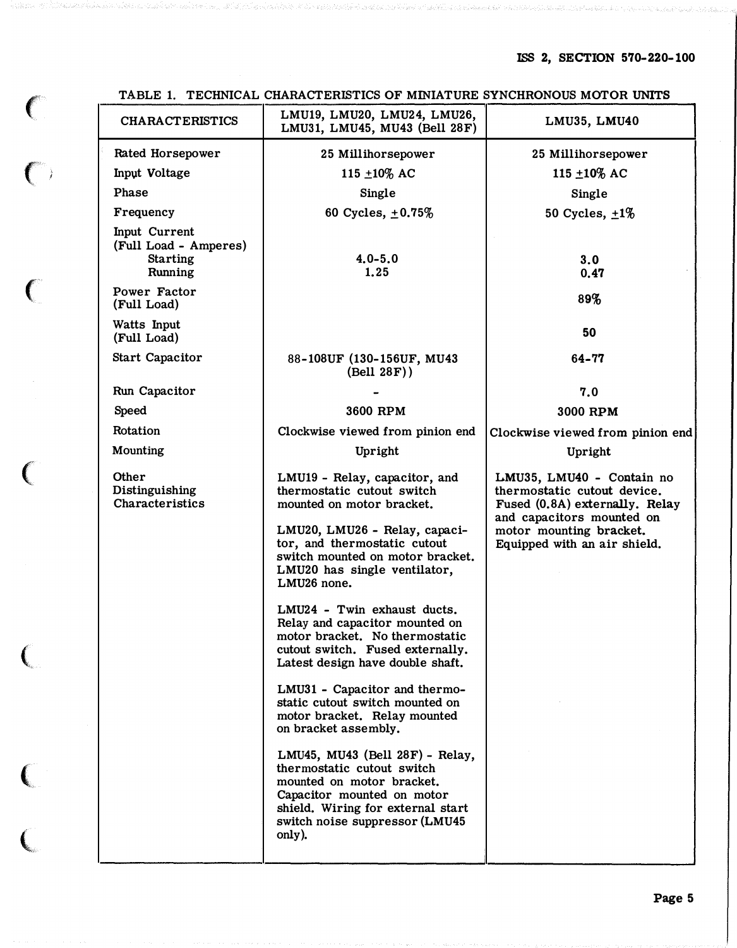| <b>CHARACTERISTICS</b>                                               | LMU19, LMU20, LMU24, LMU26,<br>LMU31, LMU45, MU43 (Bell 28F)                                                                                                                                               | LMU35, LMU40                                                                               |  |
|----------------------------------------------------------------------|------------------------------------------------------------------------------------------------------------------------------------------------------------------------------------------------------------|--------------------------------------------------------------------------------------------|--|
| <b>Rated Horsepower</b>                                              | 25 Millihorsepower                                                                                                                                                                                         | 25 Millihorsepower                                                                         |  |
| Input Voltage                                                        | 115 $\pm 10\%$ AC                                                                                                                                                                                          | 115 ±10% AC                                                                                |  |
| Phase                                                                | Single                                                                                                                                                                                                     | Single                                                                                     |  |
| Frequency                                                            | 60 Cycles, $\pm 0.75\%$                                                                                                                                                                                    | 50 Cycles, $\pm 1\%$                                                                       |  |
| Input Current<br>(Full Load - Amperes)<br><b>Starting</b><br>Running | $4.0 - 5.0$<br>1.25                                                                                                                                                                                        | 3.0<br>0.47                                                                                |  |
| Power Factor<br>(Full Load)                                          |                                                                                                                                                                                                            | 89%                                                                                        |  |
| Watts Input<br>(Full Load)                                           |                                                                                                                                                                                                            | 50                                                                                         |  |
| <b>Start Capacitor</b>                                               | 88-108UF (130-156UF, MU43<br>(Bell 28F))                                                                                                                                                                   | 64-77                                                                                      |  |
| Run Capacitor                                                        |                                                                                                                                                                                                            | 7.0                                                                                        |  |
| <b>Speed</b>                                                         | 3600 RPM                                                                                                                                                                                                   | 3000 RPM                                                                                   |  |
| Rotation                                                             | Clockwise viewed from pinion end                                                                                                                                                                           | Clockwise viewed from pinion end                                                           |  |
| Mounting                                                             | Upright                                                                                                                                                                                                    | Upright                                                                                    |  |
| Other<br>Distinguishing<br>Characteristics                           | LMU19 - Relay, capacitor, and<br>thermostatic cutout switch<br>mounted on motor bracket.                                                                                                                   | LMU35, LMU40 - Contain no<br>thermostatic cutout device.<br>Fused (0.8A) externally. Relay |  |
|                                                                      | LMU20, LMU26 - Relay, capaci-<br>tor, and thermostatic cutout<br>switch mounted on motor bracket.<br>LMU20 has single ventilator,<br>LMU26 none.                                                           | and capacitors mounted on<br>motor mounting bracket.<br>Equipped with an air shield.       |  |
|                                                                      | LMU24 - Twin exhaust ducts.<br>Relay and capacitor mounted on<br>motor bracket. No thermostatic<br>cutout switch. Fused externally.<br>Latest design have double shaft.                                    |                                                                                            |  |
|                                                                      | LMU31 - Capacitor and thermo-<br>static cutout switch mounted on<br>motor bracket. Relay mounted<br>on bracket assembly.                                                                                   |                                                                                            |  |
|                                                                      | LMU45, MU43 (Bell 28F) - Relay,<br>thermostatic cutout switch<br>mounted on motor bracket.<br>Capacitor mounted on motor<br>shield. Wiring for external start<br>switch noise suppressor (LMU45)<br>only). |                                                                                            |  |

TABLE 1. TECHNICAL CHARACTERISTICS OF MINIATURE SYNCHRONOUS MOTOR UNITS

 $\big($ 

 $\big($ 

 $\big($ 

 $\big($ 

 $\left($ 

 $\big($ 

 $\overline{C}$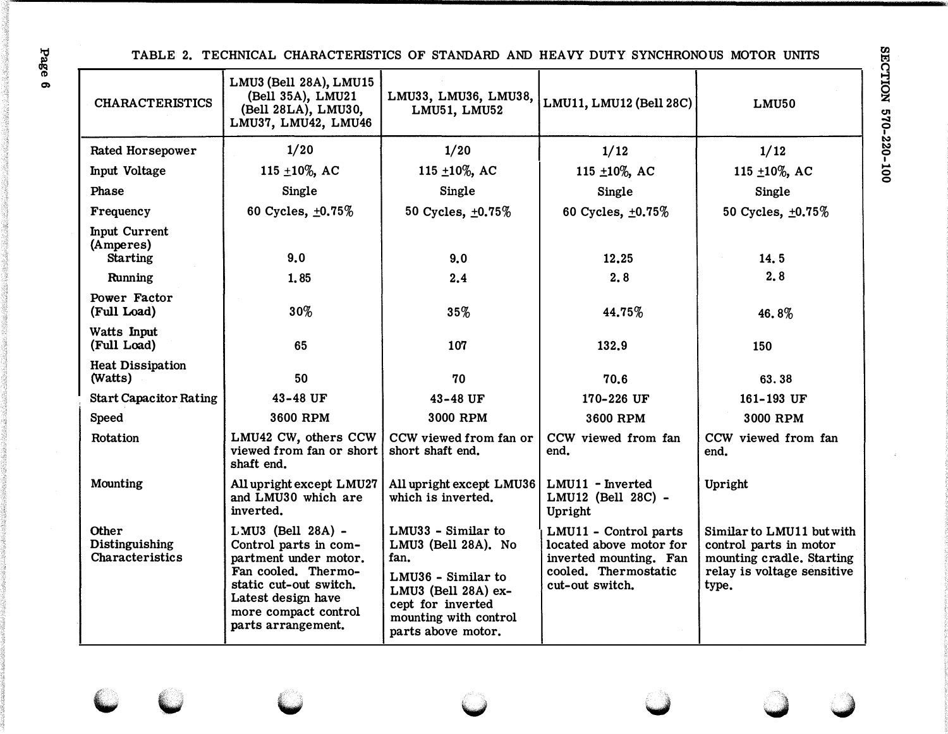TABLE 2. TECHNICAL CHARACTERISTICS OF STANDARD AND HEAVY DUTY SYNCHRONOUS MOTOR UNITS

| <b>CHARACTERISTICS</b>                               | LMU3 (Bell 28A), LMU15<br>(Bell 35A), LMU21<br>(Bell 28LA), LMU30,<br>LMU37, LMU42, LMU46                                                                                                | LMU33, LMU36, LMU38,<br>LMU51, LMU52                                                                                                                               | LMU11, LMU12 (Bell 28C)                                                                                               | LMU50                                                                                                                   |
|------------------------------------------------------|------------------------------------------------------------------------------------------------------------------------------------------------------------------------------------------|--------------------------------------------------------------------------------------------------------------------------------------------------------------------|-----------------------------------------------------------------------------------------------------------------------|-------------------------------------------------------------------------------------------------------------------------|
| Rated Horsepower                                     | 1/20                                                                                                                                                                                     | 1/20                                                                                                                                                               | 1/12                                                                                                                  | 1/12                                                                                                                    |
| Input Voltage                                        | 115 $\pm 10\%$ , AC                                                                                                                                                                      | 115 $\pm 10\%$ , AC                                                                                                                                                | 115 ±10%, AC                                                                                                          | 115 $\pm$ 10%, AC                                                                                                       |
| Phase                                                | Single                                                                                                                                                                                   | Single                                                                                                                                                             | Single                                                                                                                | Single                                                                                                                  |
| Frequency                                            | 60 Cycles, $\pm 0.75\%$                                                                                                                                                                  | 50 Cycles, ±0.75%                                                                                                                                                  | 60 Cycles, ±0.75%                                                                                                     | 50 Cycles, ±0.75%                                                                                                       |
| <b>Input Current</b><br>(Amperes)<br><b>Starting</b> | 9.0                                                                                                                                                                                      | 9.0                                                                                                                                                                | 12,25                                                                                                                 | 14.5                                                                                                                    |
| Running                                              | 1,85                                                                                                                                                                                     | 2.4                                                                                                                                                                | 2,8                                                                                                                   | 2.8                                                                                                                     |
| Power Factor<br>(Full Load)                          | $30\%$                                                                                                                                                                                   | 35%                                                                                                                                                                | 44.75%                                                                                                                | 46.8%                                                                                                                   |
| Watts Input<br>(Full Load)                           | 65                                                                                                                                                                                       | 107                                                                                                                                                                | 132.9                                                                                                                 | 150                                                                                                                     |
| <b>Heat Dissipation</b><br>(Watts)                   | 50                                                                                                                                                                                       | 70                                                                                                                                                                 | 70.6                                                                                                                  | 63.38                                                                                                                   |
| <b>Start Capacitor Rating</b>                        | 43-48 UF                                                                                                                                                                                 | 43-48 UF                                                                                                                                                           | 170-226 UF                                                                                                            | 161-193 UF                                                                                                              |
| Speed                                                | 3600 RPM                                                                                                                                                                                 | 3000 RPM                                                                                                                                                           | 3600 RPM                                                                                                              | 3000 RPM                                                                                                                |
| Rotation                                             | LMU42 CW, others CCW<br>viewed from fan or short<br>shaft end.                                                                                                                           | CCW viewed from fan or<br>short shaft end.                                                                                                                         | CCW viewed from fan<br>end.                                                                                           | CCW viewed from fan<br>end.                                                                                             |
| Mounting                                             | All upright except LMU27<br>and LMU30 which are<br>inverted.                                                                                                                             | All upright except LMU36<br>which is inverted.                                                                                                                     | LMU11 - Inverted<br>LMU12 (Bell 28C) -<br>Upright                                                                     | Upright                                                                                                                 |
| <b>Other</b><br>Distinguishing<br>Characteristics    | LMU3 (Bell 28A) -<br>Control parts in com-<br>partment under motor.<br>Fan cooled. Thermo-<br>static cut-out switch.<br>Latest design have<br>more compact control<br>parts arrangement. | LMU33 - Similar to<br>LMU3 (Bell 28A). No<br>fan.<br>LMU36 - Similar to<br>LMU3 (Bell 28A) ex-<br>cept for inverted<br>mounting with control<br>parts above motor. | LMU11 - Control parts<br>located above motor for<br>inverted mounting. Fan<br>cooled. Thermostatic<br>cut-out switch. | Similar to LMU11 but with<br>control parts in motor<br>mounting cradle. Starting<br>relay is voltage sensitive<br>type. |

Page 6

SECTION 570-220-100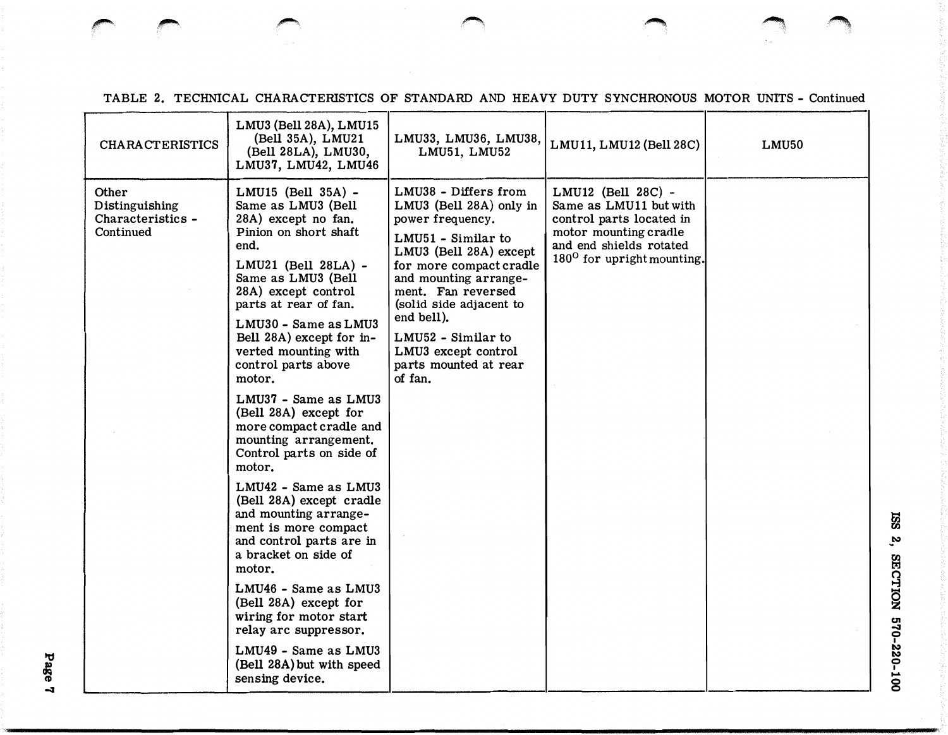| <b>CHARACTERISTICS</b>                                    | LMU3 (Bell 28A), LMU15<br>(Bell 35A), LMU21<br>(Bell 28LA), LMU30,<br>LMU37, LMU42, LMU46                                                                                                                                                                                                                                                                                                                                                                                                                                                                                                                                                                                                                                                                                                            | LMU33, LMU36, LMU38,<br>LMU51, LMU52                                                                                                                                                                                                                                                                                    | LMU11, LMU12 (Bell 28C)                                                                                                                                                | LMU50 |
|-----------------------------------------------------------|------------------------------------------------------------------------------------------------------------------------------------------------------------------------------------------------------------------------------------------------------------------------------------------------------------------------------------------------------------------------------------------------------------------------------------------------------------------------------------------------------------------------------------------------------------------------------------------------------------------------------------------------------------------------------------------------------------------------------------------------------------------------------------------------------|-------------------------------------------------------------------------------------------------------------------------------------------------------------------------------------------------------------------------------------------------------------------------------------------------------------------------|------------------------------------------------------------------------------------------------------------------------------------------------------------------------|-------|
| Other<br>Distinguishing<br>Characteristics -<br>Continued | LMU15 (Bell 35A) -<br>Same as LMU3 (Bell<br>28A) except no fan.<br>Pinion on short shaft<br>end.<br>LMU21 (Bell 28LA) -<br>Same as LMU3 (Bell<br>28A) except control<br>parts at rear of fan.<br>LMU30 - Same as LMU3<br>Bell 28A) except for in-<br>verted mounting with<br>control parts above<br>motor.<br>LMU37 - Same as LMU3<br>(Bell 28A) except for<br>more compact cradle and<br>mounting arrangement.<br>Control parts on side of<br>motor.<br>LMU42 - Same as LMU3<br>(Bell 28A) except cradle<br>and mounting arrange-<br>ment is more compact<br>and control parts are in<br>a bracket on side of<br>motor.<br>LMU46 - Same as LMU3<br>(Bell 28A) except for<br>wiring for motor start<br>relay arc suppressor.<br>LMU49 - Same as LMU3<br>(Bell 28A) but with speed<br>sensing device. | LMU38 - Differs from<br>LMU3 (Bell 28A) only in<br>power frequency.<br>LMU51 - Similar to<br>LMU3 (Bell 28A) except<br>for more compact cradle<br>and mounting arrange-<br>ment. Fan reversed<br>(solid side adjacent to<br>end bell).<br>LMU52 - Similar to<br>LMU3 except control<br>parts mounted at rear<br>of fan. | LMU12 (Bell 28C) -<br>Same as LMU11 but with<br>control parts located in<br>motor mounting cradle<br>and end shields rotated<br>180 <sup>0</sup> for upright mounting. |       |

TABLE 2. TECHNICAL CHARACTERISTICS OF STANDARD AND HEAVY DUTY SYNCHRONOUS MOTOR UNITS - Continued

� ,....., ,...,, �""">\ � �. ·�

Page -3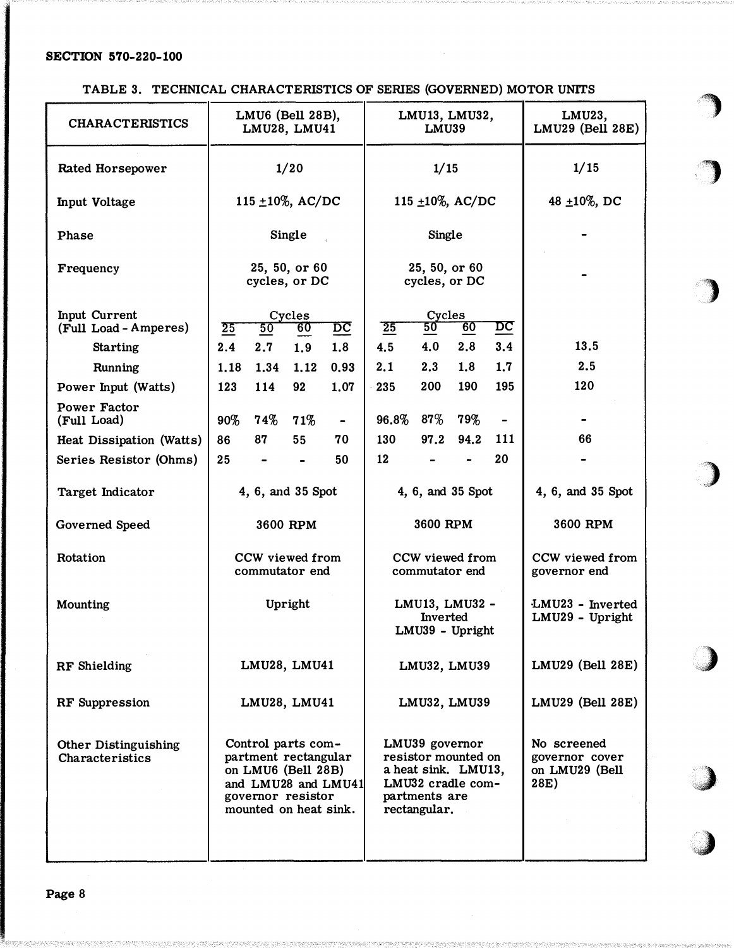TABLE 3. TECHNICAL CHARACTERISTICS OF SERIES (GOVERNED) MOTOR UNITS

| <b>CHARACTERISTICS</b>                         | LMU6 (Bell 28B),<br>LMU28, LMU41                                                                                                      | LMU13, LMU32,<br>LMU39                                                                                             | LMU23,<br><b>LMU29 (Bell 28E)</b>                       |
|------------------------------------------------|---------------------------------------------------------------------------------------------------------------------------------------|--------------------------------------------------------------------------------------------------------------------|---------------------------------------------------------|
| <b>Rated Horsepower</b>                        | 1/20                                                                                                                                  | 1/15                                                                                                               | 1/15                                                    |
| <b>Input Voltage</b>                           | 115 $\pm 10\%$ , AC/DC                                                                                                                | 115 $\pm 10\%$ , AC/DC                                                                                             | 48 $\pm 10\%$ , DC                                      |
| Phase                                          | Single                                                                                                                                | Single                                                                                                             |                                                         |
| Frequency                                      | 25, 50, or 60<br>cycles, or DC                                                                                                        | 25, 50, or 60<br>cycles, or DC                                                                                     |                                                         |
| <b>Input Current</b><br>(Full Load - Amperes)  | Cycles<br>25<br>50<br>$\overline{DC}$<br>60                                                                                           | Cycles<br>$\overline{25}$<br>50<br>60<br>$\overline{DC}$                                                           |                                                         |
| <b>Starting</b>                                | 2.4<br>2.7<br>1.9<br>1.8                                                                                                              | 3.4<br>4.5<br>4.0<br>2.8                                                                                           | 13.5                                                    |
| Running                                        | 0.93<br>1.18<br>1.34<br>1,12                                                                                                          | 1.8<br>1.7<br>2.1<br>2.3                                                                                           | 2.5                                                     |
| Power Input (Watts)                            | 1.07<br>114<br>123<br>92                                                                                                              | 200<br>190<br>195<br>235                                                                                           | 120                                                     |
| <b>Power Factor</b><br>(Full Load)             | $90\%$<br>74%<br>71%<br>$\blacksquare$                                                                                                | $87\%$<br>96.8%<br>$79\%$                                                                                          |                                                         |
| Heat Dissipation (Watts)                       | 86<br>87<br>55<br>70                                                                                                                  | 94.2<br>130<br>97.2<br>111                                                                                         | 66                                                      |
| Series Resistor (Ohms)                         | 25<br>50                                                                                                                              | 20<br>12                                                                                                           |                                                         |
| Target Indicator                               | 4, 6, and 35 Spot                                                                                                                     | 4, 6, and 35 Spot                                                                                                  | 4, 6, and 35 Spot                                       |
| Governed Speed                                 | 3600 RPM                                                                                                                              | 3600 RPM                                                                                                           | 3600 RPM                                                |
| Rotation                                       | CCW viewed from<br>commutator end                                                                                                     | CCW viewed from<br>commutator end                                                                                  | CCW viewed from<br>governor end                         |
| Mounting                                       | Upright                                                                                                                               | LMU13, LMU32 -<br><b>Inverted</b><br>LMU39 - Upright                                                               | LMU23 - Inverted<br>LMU29 - Upright                     |
| RF Shielding                                   | LMU28, LMU41                                                                                                                          | LMU32, LMU39                                                                                                       | LMU29 (Bell 28E)                                        |
| <b>RF</b> Suppression                          | LMU28, LMU41                                                                                                                          | LMU32, LMU39                                                                                                       | LMU29 (Bell 28E)                                        |
| <b>Other Distinguishing</b><br>Characteristics | Control parts com-<br>partment rectangular<br>on LMU6 (Bell 28B)<br>and LMU28 and LMU41<br>governor resistor<br>mounted on heat sink. | LMU39 governor<br>resistor mounted on<br>a heat sink. LMU13,<br>LMU32 cradle com-<br>partments are<br>rectangular. | No screened<br>governor cover<br>on LMU29 (Bell<br>28E) |

**)** 

 $\blacksquare$ <u>' J</u>

> ...  $\begin{array}{c} \hline \end{array}$

�)

)

,,)

.. **)** .I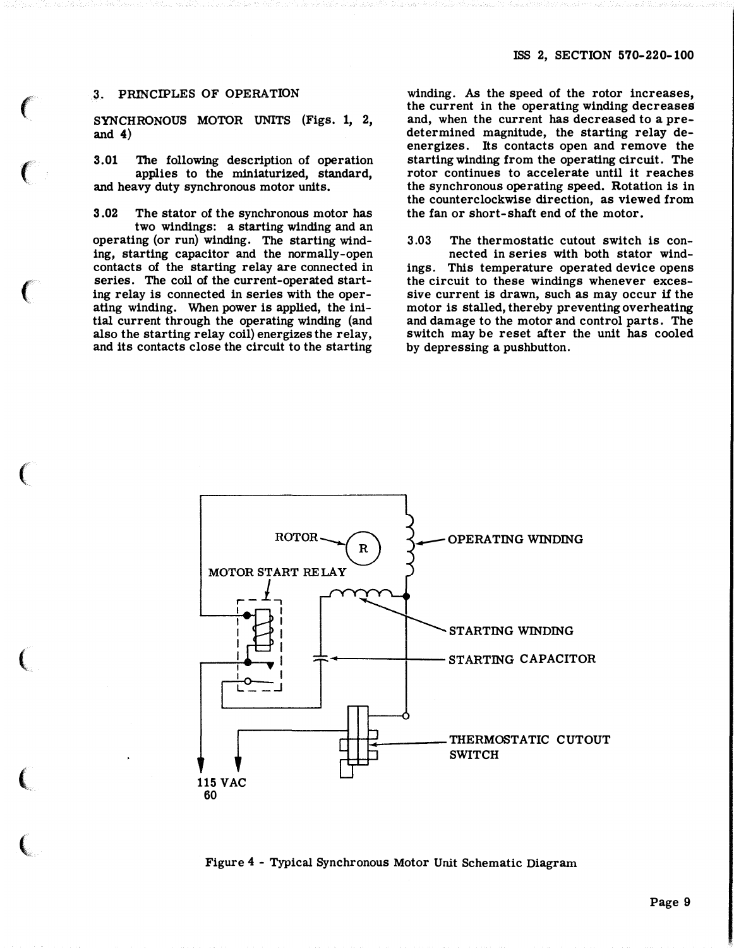# 3. PRINCIPLES OF OPERATION

 $\epsilon$ 

 $\left($ 

 $\big($ 

 $\big($ 

(

 $\big($ 

 $\big($ 

SYNCHRONOUS MOTOR UNITS (Figs. 1, 2, and  $4)$ 

3.01 The following description of operation applies to the miniaturized, standard, and heavy duty synchronous motor units.

3.02 The stator of the synchronous motor has two windings: a starting winding and an operating (or run) winding. The starting winding, starting capacitor and the normally-open contacts of the starting relay are connected in series. The coil of the current-operated starting relay is connected in series with the operating winding. When power is applied, the initial current through the operating winding (and also the starting relay coil) energizes the relay, and its contacts close the circuit to the starting

winding. As the speed of the rotor increases, the current in the operating winding decreases and, when the current has decreased to a predetermined magnitude, the starting relay deenergizes. Its contacts open and remove the starting winding from the operating circuit. The rotor continues to accelerate until it reaches the synchronous operating speed. Rotation is in the counterclockwise direction, as viewed from the fan or short-shaft end of the motor.

3 .03 The thermostatic cutout switch is connected in series with both stator windings. This temperature operated device opens

the circuit to these windings whenever excessive current is drawn, such as may occur if the motor is stalled, thereby preventing overheating and damage to the motor and control parts. The switch may be reset after the unit has cooled by depressing a pushbutton.



Figure <sup>4</sup>- Typical Synchronous Motor Unit Schematic Diagram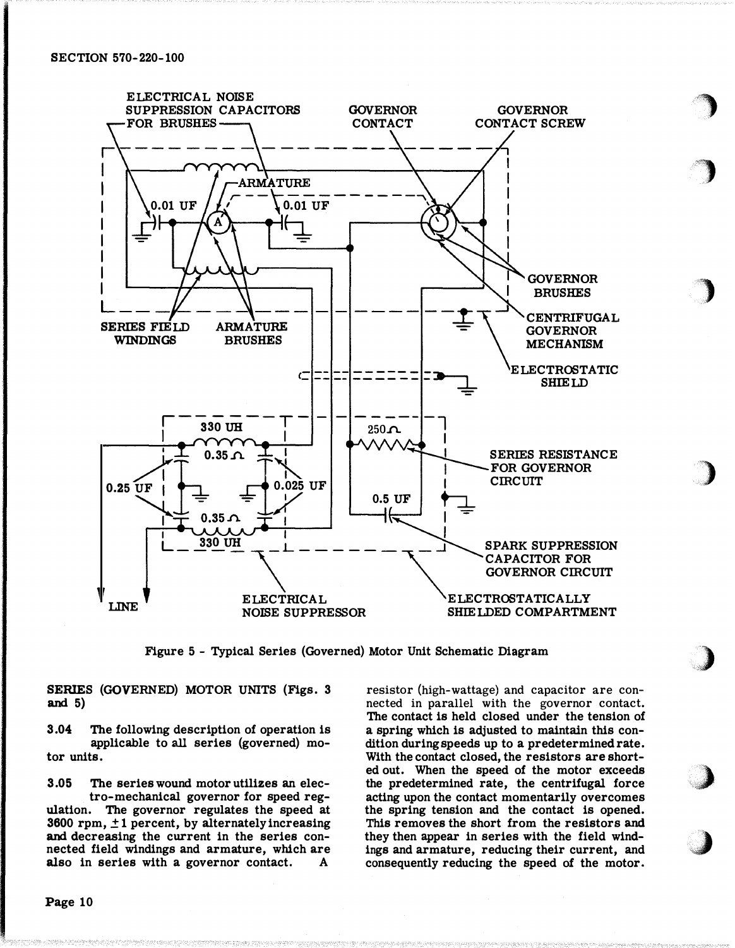

Figure 5 - Typical Series (Governed) Motor Unit Schematic Diagram

SERIES (GOVERNED) MOTOR UNITS (Figs. 3 and  $5)$ 

The following description of operation is  $3.04$ applicable to all series (governed) motor units.

3.05 The series wound motor utilizes an electro-mechanical governor for speed regulation. The governor regulates the speed at 3600 rpm,  $\pm$  1 percent, by alternately increasing and decreasing the current in the series connected field windings and armature, which are also in series with a governor contact. A.

resistor (high-wattage) and capacitor are connected in parallel with the governor contact. The contact is held closed under the tension of a spring which is adjusted to maintain this condition during speeds up to a predetermined rate. With the contact closed, the resistors are shorted out. When the speed of the motor exceeds the predetermined rate, the centrifugal force acting upon the contact momentarily overcomes the spring tension and the contact is opened. This removes the short from the resistors and they then appear in series with the field windings and armature, reducing their current, and consequently reducing the speed of the motor.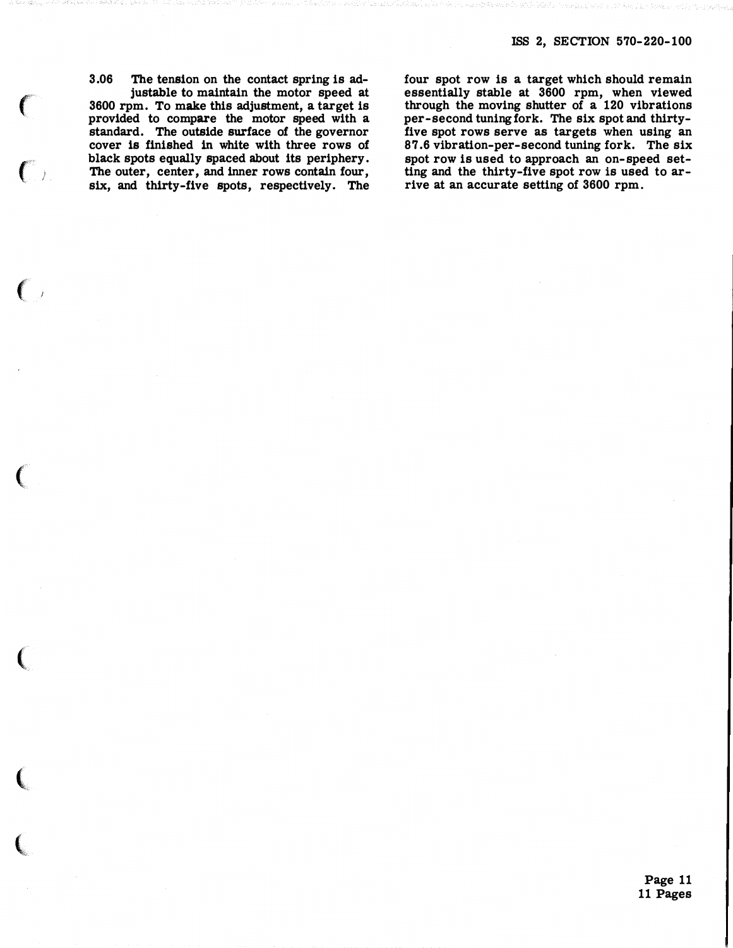3.06 The tension on the contact spring is adjustable to maintain the motor speed at 3600 rpm. To make this adjustment, a target is provided to compare the motor speed with a standard. The outside surface of the governor cover is finished in white with three rows of black spots equally spaced about its periphery. The outer, center, and inner rows contain four, six, and thirty-five spots, respectively. The

and the control of the control of

**CONTRACTOR** 

four spot row is a target which should remain essentially stable at 3600 rpm, when viewed through the moving shutter of a 120 vibrations per-second tuning fork. The six spot and thirtyfive spot rows serve as targets when using an 87.6 vibration-per-second tuning fork. The six spot row is used to approach an on-speed setting and the thirty-five spot row is used to arrive at an accurate setting of 3600 rpm.

> Page 11 11 Pages